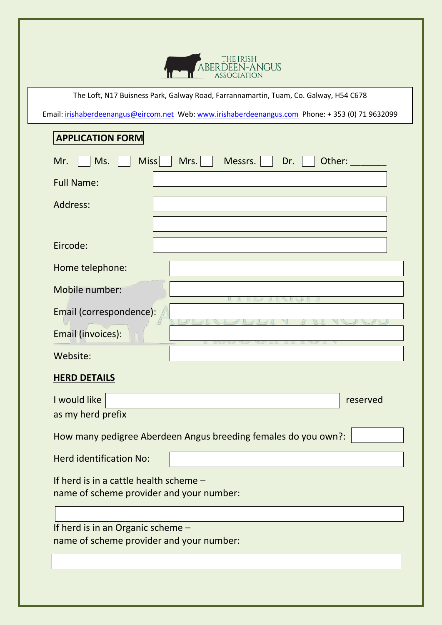

The Loft, N17 Buisness Park, Galway Road, Farrannamartin, Tuam, Co. Galway, H54 C678

Email: irishaberdeenangus@eircom.net Web: www.irishaberdeenangus.com Phone: +353 (0) 71 9632099

## **APPLICATION FORM**

| <b>Miss</b><br>Mrs.<br>Other:<br>Mr.<br>Ms.<br>Messrs.<br>Dr.  |
|----------------------------------------------------------------|
| <b>Full Name:</b>                                              |
| Address:                                                       |
|                                                                |
| Eircode:                                                       |
| Home telephone:                                                |
| Mobile number:                                                 |
| Email (correspondence):                                        |
| Email (invoices):                                              |
| Website:                                                       |
|                                                                |
| <b>HERD DETAILS</b>                                            |
| I would like<br>reserved                                       |
| as my herd prefix                                              |
| How many pedigree Aberdeen Angus breeding females do you own?: |
| <b>Herd identification No:</b>                                 |
| If herd is in a cattle health scheme -                         |
| name of scheme provider and your number:                       |
| If herd is in an Organic scheme -                              |
| name of scheme provider and your number:                       |